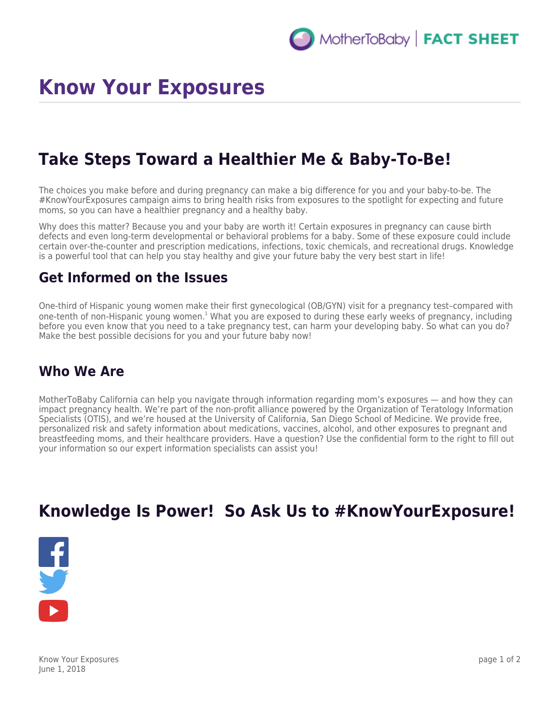# **Know Your Exposures**

## **Take Steps Toward a Healthier Me & Baby-To-Be!**

The choices you make before and during pregnancy can make a big difference for you and your baby-to-be. The #KnowYourExposures campaign aims to bring health risks from exposures to the spotlight for expecting and future moms, so you can have a healthier pregnancy and a healthy baby.

Why does this matter? Because you and your baby are worth it! Certain exposures in pregnancy can cause birth defects and even long-term developmental or behavioral problems for a baby. Some of these exposure could include certain over-the-counter and prescription medications, infections, toxic chemicals, and recreational drugs. Knowledge is a powerful tool that can help you stay healthy and give your future baby the very best start in life!

#### **Get Informed on the Issues**

One-third of Hispanic young women make their first gynecological (OB/GYN) visit for a pregnancy test–compared with one-tenth of non-Hispanic young women.<sup>1</sup> What you are exposed to during these early weeks of pregnancy, including before you even know that you need to a take pregnancy test, can harm your developing baby. So what can you do? Make the best possible decisions for you and your future baby now!

### **Who We Are**

MotherToBaby California can help you navigate through information regarding mom's exposures — and how they can impact pregnancy health. We're part of the non-profit alliance powered by the Organization of Teratology Information Specialists (OTIS), and we're housed at the University of California, San Diego School of Medicine. We provide free, personalized risk and safety information about medications, vaccines, alcohol, and other exposures to pregnant and breastfeeding moms, and their healthcare providers. Have a question? Use the confidential form to the right to fill out your information so our expert information specialists can assist you!

## **Knowledge Is Power! So Ask Us to #KnowYourExposure!**



Know Your Exposures June 1, 2018